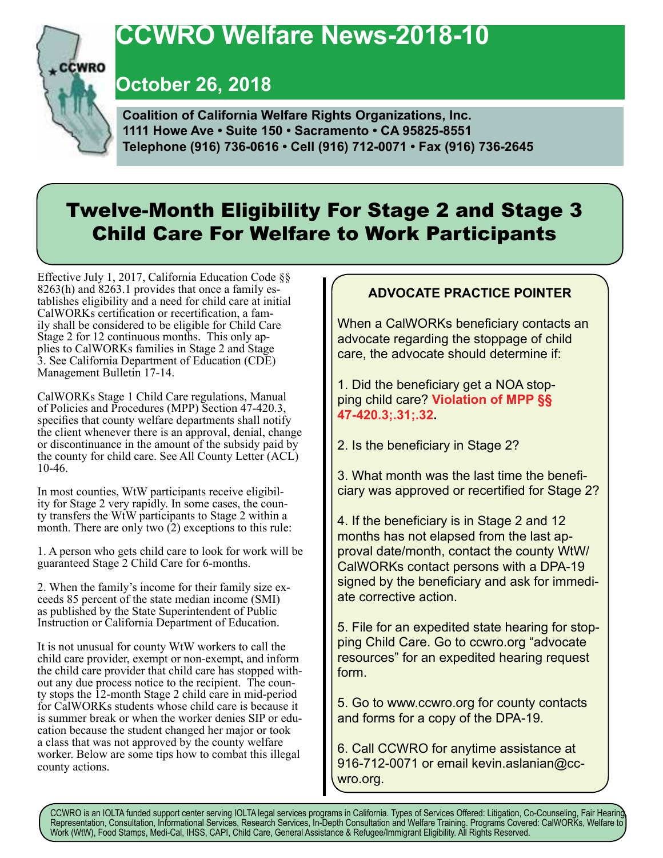# **CCWRO Welfare News-2018-10**

**October 26, 2018**

**CCWRO** 

 **Coalition of California Welfare Rights Organizations, Inc. 1111 Howe Ave • Suite 150 • Sacramento • CA 95825-8551 Telephone (916) 736-0616 • Cell (916) 712-0071 • Fax (916) 736-2645**

## Twelve-Month Eligibility For Stage 2 and Stage 3 Child Care For Welfare to Work Participants

Effective July 1, 2017, California Education Code §§ 8263(h) and 8263.1 provides that once a family establishes eligibility and a need for child care at initial CalWORKs certification or recertification, a family shall be considered to be eligible for Child Care Stage 2 for 12 continuous months. This only applies to CalWORKs families in Stage 2 and Stage 3. See California Department of Education (CDE) Management Bulletin 17-14.

CalWORKs Stage 1 Child Care regulations, Manual of Policies and Procedures (MPP) Section 47-420.3, specifies that county welfare departments shall notify the client whenever there is an approval, denial, change or discontinuance in the amount of the subsidy paid by the county for child care. See All County Letter (ACL) 10-46.

In most counties, WtW participants receive eligibility for Stage 2 very rapidly. In some cases, the county transfers the WtW participants to Stage 2 within a month. There are only two  $(2)$  exceptions to this rule:

1. A person who gets child care to look for work will be guaranteed Stage 2 Child Care for 6-months.

2. When the family's income for their family size ex- ceeds 85 percent of the state median income (SMI) as published by the State Superintendent of Public Instruction or California Department of Education.

It is not unusual for county WtW workers to call the child care provider, exempt or non-exempt, and inform the child care provider that child care has stopped with-<br>out any due process notice to the recipient. The coun-<br>ty stops the 12-month Stage 2 child care in mid-period for CalWORKs students whose child care is because it is summer break or when the worker denies SIP or edu- cation because the student changed her major or took a class that was not approved by the county welfare worker. Below are some tips how to combat this illegal county actions.

### **ADVOCATE PRACTICE POINTER**

When a CalWORKs beneficiary contacts an advocate regarding the stoppage of child care, the advocate should determine if:

1. Did the beneficiary get a NOA stopping child care? **Violation of MPP §§ 47-420.3;.31;.32.**

2. Is the beneficiary in Stage 2?

3. What month was the last time the beneficiary was approved or recertified for Stage 2?

4. If the beneficiary is in Stage 2 and 12 months has not elapsed from the last approval date/month, contact the county WtW/ CalWORKs contact persons with a DPA-19 signed by the beneficiary and ask for immediate corrective action.

5. File for an expedited state hearing for stopping Child Care. Go to ccwro.org "advocate resources" for an expedited hearing request form.

5. Go to www.ccwro.org for county contacts and forms for a copy of the DPA-19.

6. Call CCWRO for anytime assistance at 916-712-0071 or email kevin.aslanian@ccwro.org.

CCWRO is an IOLTA funded support center serving IOLTA legal services programs in California. Types of Services Offered: Litigation, Co-Counseling, Fair Hearing, Representation, Consultation, Informational Services, Research Services, In-Depth Consultation and Welfare Training. Programs Covered: CalWORKs, Welfare to Work (WtW), Food Stamps, Medi-Cal, IHSS, CAPI, Child Care, General Assistance & Refugee/Immigrant Eligibility. All Rights Reserved.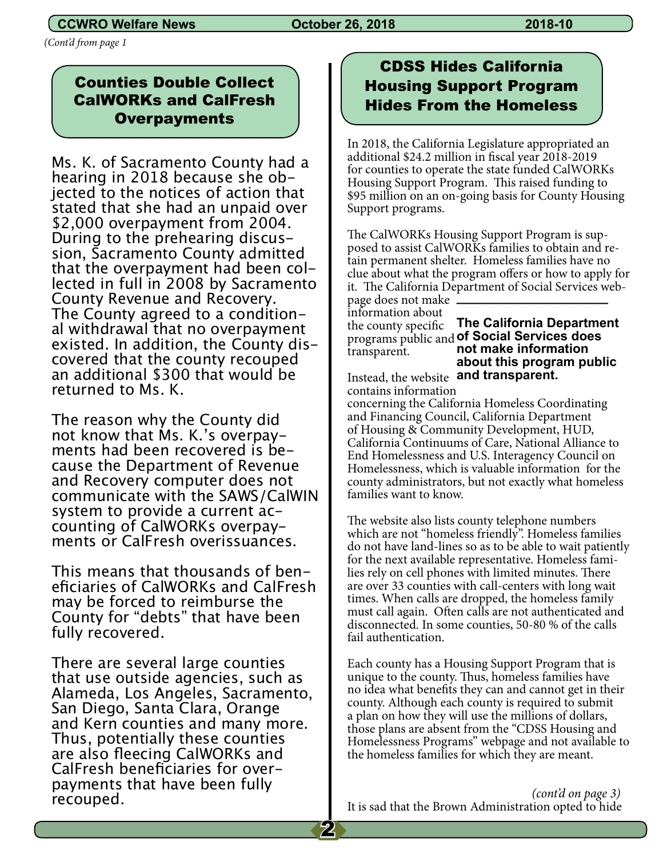### **CCWRO Welfare News Corober 26, 2018 2018-10 2018-10**

*(Cont'd from page 1*

### Counties Double Collect CalWORKs and CalFresh **Overpayments**

Ms. K. of Sacramento County had a<br>hearing in 2018 because she objected to the notices of action that stated that she had an unpaid over \$2,000 overpayment from 2004. sion, Sacramento County admitted<br>that the overpayment had been collected in full in 2008 by Sacramento County Revenue and Recovery. al withdrawal that no overpayment<br>existed. In addition, the County discovered that the county recouped an additional \$300 that would be returned to Ms. K.

The reason why the County did not know that Ms. K.'s overpayments had been recovered is because the Department of Revenue and Recovery computer does not communicate with the SAWS/CalWIN system to provide a current accounting of CalWORKs overpayments or CalFresh overissuances.

This means that thousands of beneficiaries of CalWORKs and CalFresh may be forced to reimburse the County for "debts" that have been fully recovered.

There are several large counties that use outside agencies, such as Alameda, Los Angeles, Sacramento, San Diego, Santa Clara, Orange and Kern counties and many more. Thus, potentially these counties are also fleecing CalWORKs and payments that have been fully recouped.

## CDSS Hides California Housing Support Program Hides From the Homeless

In 2018, the California Legislature appropriated an additional \$24.2 million in fiscal year 2018-2019 for counties to operate the state funded CalWORKs Housing Support Program. This raised funding to \$95 million on an on-going basis for County Housing Support programs.

The CalWORKs Housing Support Program is supposed to assist CalWORKs families to obtain and retain permanent shelter. Homeless families have no clue about what the program offers or how to apply for it. The California Department of Social Services web-**\_\_\_\_\_\_\_\_\_\_\_\_\_\_\_\_\_\_\_\_\_**

page does not make information about the county specific transparent.

programs public and **of Social Services does The California Department not make information about this program public** 

Instead, the website **and transparent.** contains information

concerning the California Homeless Coordinating and Financing Council, California Department of Housing & Community Development, HUD, California Continuums of Care, National Alliance to End Homelessness and U.S. Interagency Council on Homelessness, which is valuable information for the county administrators, but not exactly what homeless families want to know.

The website also lists county telephone numbers which are not "homeless friendly". Homeless families do not have land-lines so as to be able to wait patiently for the next available representative. Homeless families rely on cell phones with limited minutes. There are over 33 counties with call-centers with long wait times. When calls are dropped, the homeless family must call again. Often calls are not authenticated and disconnected. In some counties, 50-80 % of the calls fail authentication.

Each county has a Housing Support Program that is unique to the county. Thus, homeless families have no idea what benefits they can and cannot get in their county. Although each county is required to submit a plan on how they will use the millions of dollars, those plans are absent from the "CDSS Housing and Homelessness Programs" webpage and not available to the homeless families for which they are meant.

 *(cont'd on page 3)* It is sad that the Brown Administration opted to hide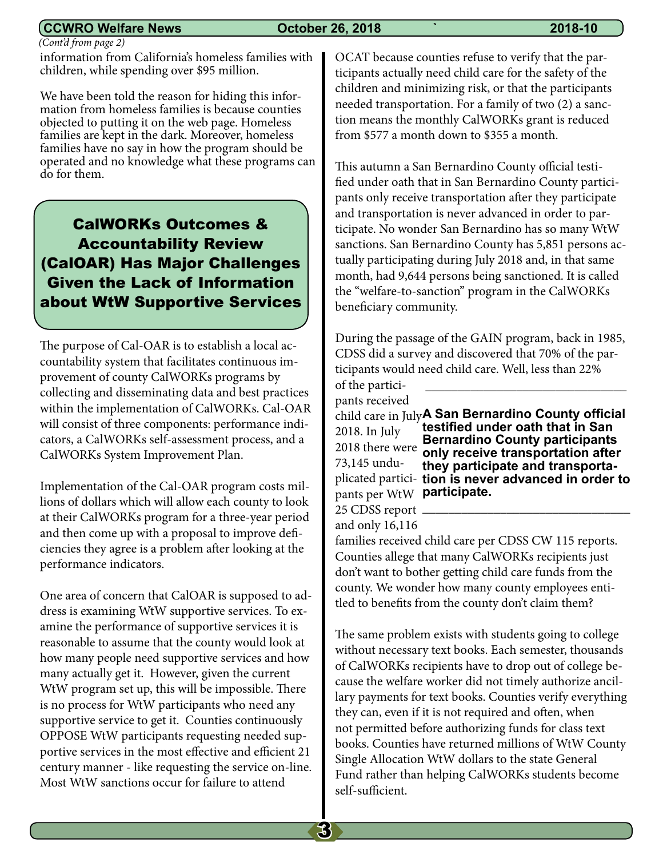#### **CCWRO Welfare News October 26, 2018 ` 2018-10**

 *(Cont'd from page 2)*

information from California's homeless families with children, while spending over \$95 million.

We have been told the reason for hiding this information from homeless families is because counties objected to putting it on the web page. Homeless families are kept in the dark. Moreover, homeless families have no say in how the program should be operated and no knowledge what these programs can do for them.

CalWORKs Outcomes & Accountability Review (CalOAR) Has Major Challenges Given the Lack of Information about WtW Supportive Services

The purpose of Cal-OAR is to establish a local accountability system that facilitates continuous improvement of county CalWORKs programs by collecting and disseminating data and best practices within the implementation of CalWORKs. Cal-OAR will consist of three components: performance indicators, a CalWORKs self-assessment process, and a CalWORKs System Improvement Plan.

Implementation of the Cal-OAR program costs millions of dollars which will allow each county to look at their CalWORKs program for a three-year period and then come up with a proposal to improve deficiencies they agree is a problem after looking at the performance indicators.

One area of concern that CalOAR is supposed to address is examining WtW supportive services. To examine the performance of supportive services it is reasonable to assume that the county would look at how many people need supportive services and how many actually get it. However, given the current WtW program set up, this will be impossible. There is no process for WtW participants who need any supportive service to get it. Counties continuously OPPOSE WtW participants requesting needed supportive services in the most effective and efficient 21 century manner - like requesting the service on-line. Most WtW sanctions occur for failure to attend

OCAT because counties refuse to verify that the participants actually need child care for the safety of the children and minimizing risk, or that the participants needed transportation. For a family of two (2) a sanction means the monthly CalWORKs grant is reduced from \$577 a month down to \$355 a month.

This autumn a San Bernardino County official testified under oath that in San Bernardino County participants only receive transportation after they participate and transportation is never advanced in order to participate. No wonder San Bernardino has so many WtW sanctions. San Bernardino County has 5,851 persons actually participating during July 2018 and, in that same month, had 9,644 persons being sanctioned. It is called the "welfare-to-sanction" program in the CalWORKs beneficiary community.

During the passage of the GAIN program, back in 1985, CDSS did a survey and discovered that 70% of the participants would need child care. Well, less than 22% \_\_\_\_\_\_\_\_\_\_\_\_\_\_\_\_\_\_\_\_\_\_\_\_\_\_\_\_\_\_\_

of the participants received

2018. In July 73,145 undu-25 CDSS report

child care in July **A San Bernardino County official**  2018 there were **only receive transportation after**  plicated partici-**tion is never advanced in order to**  pants per WtW **participate. testified under oath that in San Bernardino County participants they participate and transporta-**\_\_\_\_\_\_\_\_\_\_\_\_\_\_\_\_\_\_\_\_\_\_\_\_\_\_\_\_\_\_\_\_

and only 16,116

families received child care per CDSS CW 115 reports. Counties allege that many CalWORKs recipients just don't want to bother getting child care funds from the county. We wonder how many county employees entitled to benefits from the county don't claim them?

The same problem exists with students going to college without necessary text books. Each semester, thousands of CalWORKs recipients have to drop out of college because the welfare worker did not timely authorize ancillary payments for text books. Counties verify everything they can, even if it is not required and often, when not permitted before authorizing funds for class text books. Counties have returned millions of WtW County Single Allocation WtW dollars to the state General Fund rather than helping CalWORKs students become self-sufficient.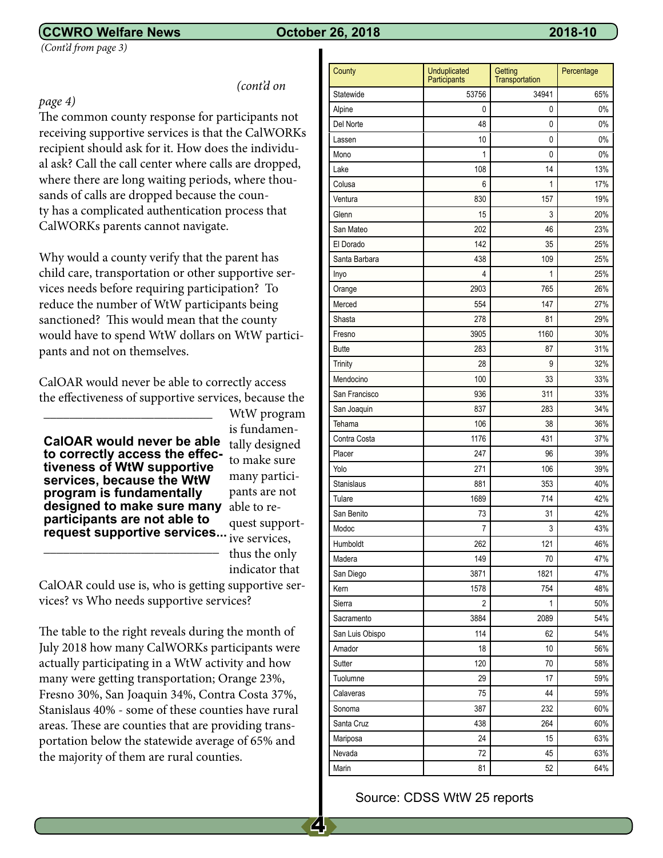#### **CCWRO Welfare News October 26, 2018 2018-10**

 *(Cont'd from page 3)*

*(cont'd on* 

#### *page 4)*

The common county response for participants not receiving supportive services is that the CalWORKs recipient should ask for it. How does the individual ask? Call the call center where calls are dropped, where there are long waiting periods, where thousands of calls are dropped because the county has a complicated authentication process that CalWORKs parents cannot navigate.

Why would a county verify that the parent has child care, transportation or other supportive services needs before requiring participation? To reduce the number of WtW participants being sanctioned? This would mean that the county would have to spend WtW dollars on WtW participants and not on themselves.

CalOAR would never be able to correctly access the effectiveness of supportive services, because the

**designed to make sure many** able to re-**CalOAR would never be able tiveness of WtW supportive services, because the WtW program is fundamentally participants are not able to request supportive services...**

\_\_\_\_\_\_\_\_\_\_\_\_\_\_\_\_\_\_\_\_\_\_\_\_\_\_\_

\_\_\_\_\_\_\_\_\_\_\_\_\_\_\_\_\_\_\_\_\_\_\_\_\_\_

WtW program is fundamentally designed to make sure many participants are not quest supportive services, thus the only

indicator that

CalOAR could use is, who is getting supportive services? vs Who needs supportive services?

The table to the right reveals during the month of July 2018 how many CalWORKs participants were actually participating in a WtW activity and how many were getting transportation; Orange 23%, Fresno 30%, San Joaquin 34%, Contra Costa 37%, Stanislaus 40% - some of these counties have rural areas. These are counties that are providing transportation below the statewide average of 65% and the majority of them are rural counties.

| County          | Unduplicated<br>Participants | Getting<br>Transportation | Percentage |
|-----------------|------------------------------|---------------------------|------------|
| Statewide       | 53756                        | 34941                     | 65%        |
| Alpine          | 0                            | 0                         | 0%         |
| Del Norte       | 48                           | 0                         | 0%         |
| Lassen          | 10                           | 0                         | 0%         |
| Mono            | 1                            | 0                         | 0%         |
| Lake            | 108                          | 14                        | 13%        |
| Colusa          | 6                            | 1                         | 17%        |
| Ventura         | 830                          | 157                       | 19%        |
| Glenn           | 15                           | 3                         | 20%        |
| San Mateo       | 202                          | 46                        | 23%        |
| El Dorado       | 142                          | 35                        | 25%        |
| Santa Barbara   | 438                          | 109                       | 25%        |
| Inyo            | 4                            | 1                         | 25%        |
| Orange          | 2903                         | 765                       | 26%        |
| Merced          | 554                          | 147                       | 27%        |
| Shasta          | 278                          | 81                        | 29%        |
| Fresno          | 3905                         | 1160                      | 30%        |
| <b>Butte</b>    | 283                          | 87                        | 31%        |
| Trinity         | 28                           | 9                         | 32%        |
| Mendocino       | 100                          | 33                        | 33%        |
| San Francisco   | 936                          | 311                       | 33%        |
| San Joaquin     | 837                          | 283                       | 34%        |
| Tehama          | 106                          | 38                        | 36%        |
| Contra Costa    | 1176                         | 431                       | 37%        |
| Placer          | 247                          | 96                        | 39%        |
| Yolo            | 271                          | 106                       | 39%        |
| Stanislaus      | 881                          | 353                       | 40%        |
| Tulare          | 1689                         | 714                       | 42%        |
| San Benito      | 73                           | 31                        | 42%        |
| Modoc           | 7                            | 3                         | 43%        |
| Humboldt        | 262                          | 121                       | 46%        |
| Madera          | 149                          | 70                        | 47%        |
| San Diego       | 3871                         | 1821                      | 47%        |
| Kern            | 1578                         | 754                       | 48%        |
| Sierra          | $\overline{2}$               | 1                         | 50%        |
| Sacramento      | 3884                         | 2089                      | 54%        |
| San Luis Obispo | 114                          | 62                        | 54%        |
| Amador          | 18                           | 10                        | 56%        |
| Sutter          | 120                          | 70                        | 58%        |
| Tuolumne        | 29                           | 17                        | 59%        |
| Calaveras       | 75                           | 44                        | 59%        |
| Sonoma          | 387                          | 232                       | 60%        |
| Santa Cruz      | 438                          | 264                       | 60%        |
| Mariposa        | 24                           | 15                        | 63%        |
| Nevada          | 72                           | 45                        | 63%        |
| Marin           | 81                           | 52                        | 64%        |

#### Source: CDSS WtW 25 reports